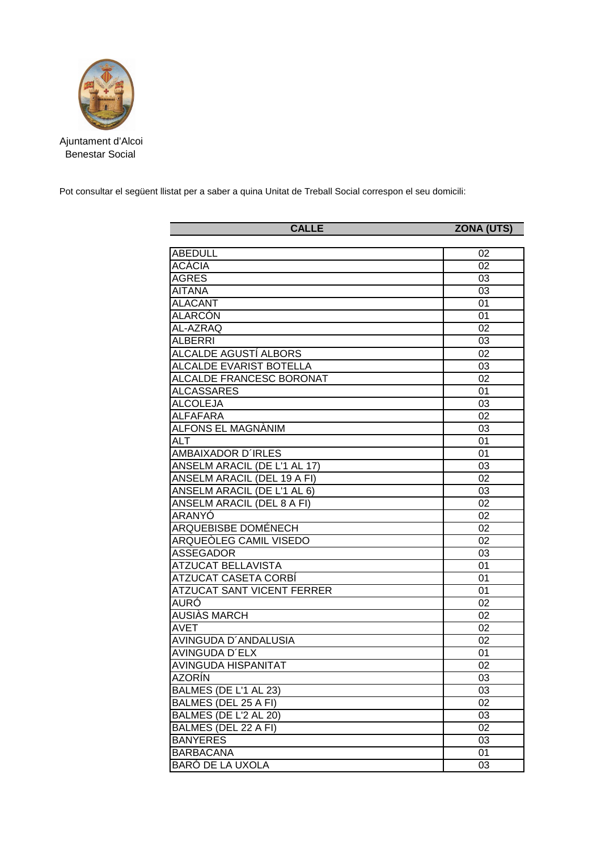

Ajuntament d'Alcoi Benestar Social

Pot consultar el següent llistat per a saber a quina Unitat de Treball Social correspon el seu domicili:

| <b>CALLE</b>                       | <b>ZONA (UTS)</b> |
|------------------------------------|-------------------|
|                                    |                   |
| <b>ABEDULL</b>                     | 02                |
| <b>ACÀCIA</b>                      | 02                |
| <b>AGRES</b>                       | 03                |
| <b>AITANA</b>                      | 03                |
| <b>ALACANT</b>                     | 01                |
| <b>ALARCÓN</b>                     | 01                |
| AL-AZRAQ                           | $\overline{02}$   |
| <b>ALBERRI</b>                     | 03                |
| <b>ALCALDE AGUSTÍ ALBORS</b>       | $\overline{02}$   |
| <b>ALCALDE EVARIST BOTELLA</b>     | 03                |
| <b>ALCALDE FRANCESC BORONAT</b>    | 02                |
| <b>ALCASSARES</b>                  | 01                |
| <b>ALCOLEJA</b>                    | 03                |
| ALFAFARA                           | 02                |
| ALFONS EL MAGNÀNIM                 | 03                |
| <b>ALT</b>                         | 01                |
| AMBAIXADOR D'IRLES                 | 01                |
| ANSELM ARACIL (DE L'1 AL 17)       | 03                |
| <b>ANSELM ARACIL (DEL 19 A FI)</b> | 02                |
| ANSELM ARACIL (DE L'1 AL 6)        | 03                |
| <b>ANSELM ARACIL (DEL 8 A FI)</b>  | 02                |
| ARANYÓ                             | 02                |
| <b>ARQUEBISBE DOMÉNECH</b>         | 02                |
| ARQUEÒLEG CAMIL VISEDO             | 02                |
| <b>ASSEGADOR</b>                   | 03                |
| <b>ATZUCAT BELLAVISTA</b>          | 01                |
| ATZUCAT CASETA CORBÍ               | 01                |
| ATZUCAT SANT VICENT FERRER         | 01                |
| AURÓ                               | 02                |
| AUSIÀS MARCH                       | 02                |
| <b>AVET</b>                        | 02                |
| AVINGUDA D'ANDALUSIA               | 02                |
| <b>AVINGUDA D'ELX</b>              | 01                |
| <b>AVINGUDA HISPANITAT</b>         | 02                |
| <b>AZORÍN</b>                      | 03                |
| BALMES (DE L'1 AL 23)              | 03                |
| BALMES (DEL 25 A FI)               | 02                |
| BALMES (DE L'2 AL 20)              | 03                |
| BALMES (DEL 22 A FI)               | 02                |
| <b>BANYERES</b>                    | 03                |
| <b>BARBACANA</b>                   | 01                |
| <b>BARÓ DE LA UXOLA</b>            | 03                |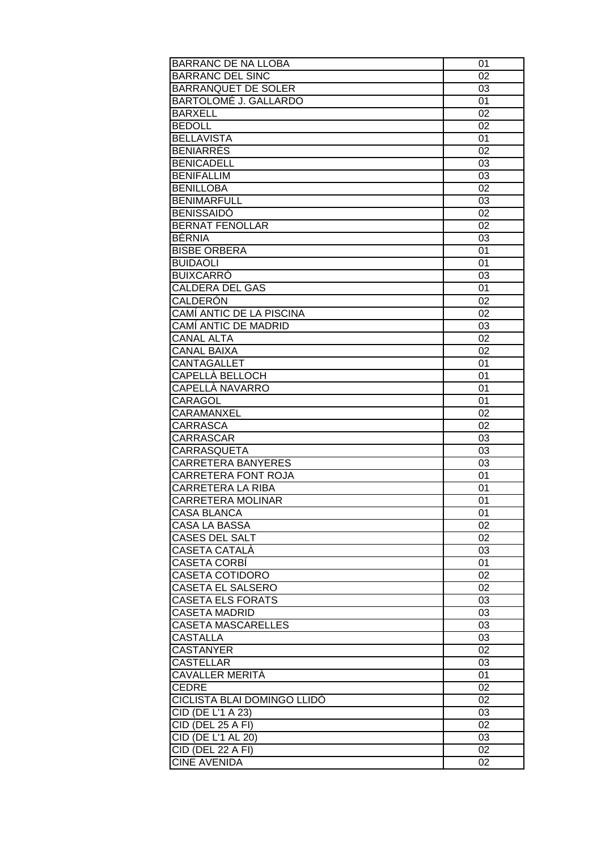| <b>BARRANC DE NA LLOBA</b>  | 01              |
|-----------------------------|-----------------|
| <b>BARRANC DEL SINC</b>     | 02              |
| <b>BARRANQUET DE SOLER</b>  | 03              |
| BARTOLOMÉ J. GALLARDO       | 01              |
| <b>BARXELL</b>              | 02              |
| <b>BEDOLL</b>               | 02              |
| <b>BELLAVISTA</b>           | 01              |
| <b>BENIARRÉS</b>            | 02              |
| <b>BENICADELL</b>           | 03              |
| <b>BENIFALLIM</b>           | 03              |
| <b>BENILLOBA</b>            | 02              |
| <b>BENIMARFULL</b>          |                 |
|                             | 03              |
| <b>BENISSAIDÓ</b>           | $\overline{02}$ |
| <b>BERNAT FENOLLAR</b>      | 02              |
| <b>BÈRNIA</b>               | 03              |
| <b>BISBE ORBERA</b>         | 01              |
| <b>BUIDAOLI</b>             | 01              |
| <b>BUIXCARRÓ</b>            | 03              |
| <b>CALDERA DEL GAS</b>      | 01              |
| CALDERÓN                    | 02              |
| CAMÍ ANTIC DE LA PISCINA    | 02              |
| CAMÍ ANTIC DE MADRID        | 03              |
| <b>CANAL ALTA</b>           | 02              |
| <b>CANAL BAIXA</b>          | 02              |
| CANTAGALLET                 | 01              |
| <b>CAPELLA BELLOCH</b>      | 01              |
| <b>CAPELLÀ NAVARRO</b>      | 01              |
| CARAGOL                     | 01              |
| CARAMANXEL                  | 02              |
| CARRASCA                    | 02              |
| <b>CARRASCAR</b>            | 03              |
| CARRASQUETA                 | 03              |
|                             |                 |
| <b>CARRETERA BANYERES</b>   | 03              |
| CARRETERA FONT ROJA         | 01              |
| CARRETERA LA RIBA           | 01              |
| CARRETERA MOLINAR           | 01              |
| CASA BLANCA                 | 01              |
| CASA LA BASSA               | 02              |
| <b>CASES DEL SALT</b>       | 02              |
| CASETA CATALÀ               | 03              |
| CASETA CORBÍ                | 01              |
| <b>CASETA COTIDORO</b>      | 02              |
| CASETA EL SALSERO           | 02              |
| <b>CASETA ELS FORATS</b>    | 03              |
| <b>CASETA MADRID</b>        | 03              |
| <b>CASETA MASCARELLES</b>   | 03              |
| <b>CASTALLA</b>             | 03              |
| <b>CASTANYER</b>            | 02              |
| <b>CASTELLAR</b>            | 03              |
| CAVALLER MERITÀ             | 01              |
| <b>CEDRE</b>                | 02              |
| CICLISTA BLAI DOMINGO LLIDO | 02              |
|                             |                 |
| CID (DE L'1 A 23)           | 03              |
| CID (DEL 25 A FI)           | 02              |
| CID (DE L'1 AL 20)          | 03              |
| CID (DEL 22 A FI)           | 02              |
| <b>CINE AVENIDA</b>         | 02              |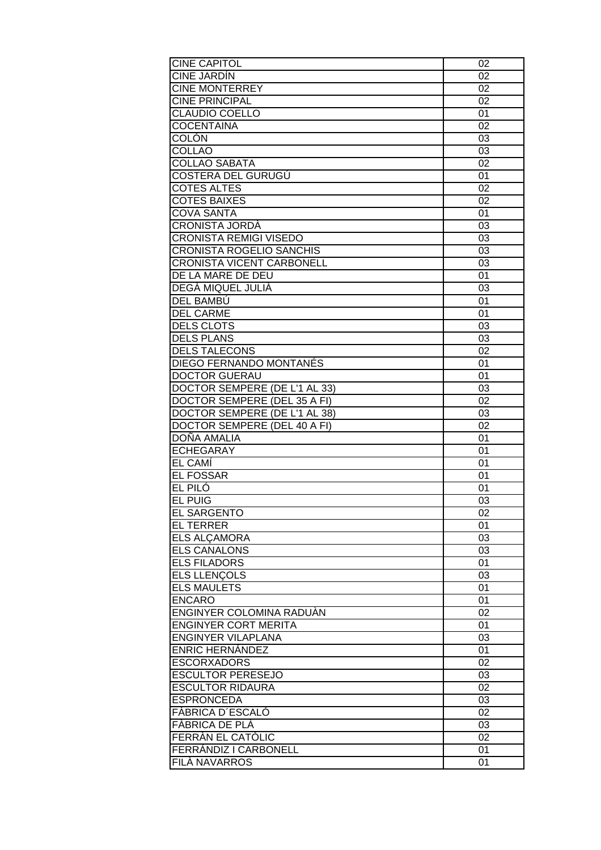| <b>CINE CAPITOL</b>                                     | 02              |
|---------------------------------------------------------|-----------------|
| CINE JARDIN                                             | 02              |
| <b>CINE MONTERREY</b>                                   | 02              |
| CINE PRINCIPAL                                          | 02              |
| CLAUDIO COELLO                                          | 01              |
| <b>COCENTAINA</b>                                       | 02              |
| COLÓN                                                   | 03              |
| <b>COLLAO</b>                                           | 03              |
| <b>COLLAO SABATA</b>                                    | $\overline{02}$ |
| <b>COSTERA DEL GURUGÚ</b>                               | 01              |
| <b>COTES ALTES</b>                                      | 02              |
| <b>COTES BAIXES</b>                                     | 02              |
| <b>COVA SANTA</b>                                       | 01              |
| CRONISTA JORDÀ                                          | 03              |
| <b>CRONISTA REMIGI VISEDO</b>                           | 03              |
| <b>CRONISTA ROGELIO SANCHIS</b>                         | 03              |
| CRONISTA VICENT CARBONELL                               | 03              |
| DE LA MARE DE DEU                                       | 01              |
| DEGÀ MIQUEL JULIÀ                                       | 03              |
| DEL BAMBÚ                                               | 01              |
| <b>DEL CARME</b>                                        | 01              |
| <b>DELS CLOTS</b>                                       | 03              |
| <b>DELS PLANS</b>                                       | 03              |
| <b>DELS TALECONS</b>                                    | 02              |
| DIEGO FERNANDO MONTANÉS                                 | 01              |
| <b>DOCTOR GUERAU</b>                                    | 01              |
| DOCTOR SEMPERE (DE L'1 AL 33)                           | 03              |
| <b>DOCTOR SEMPERE (DEL 35 A FI)</b>                     | 02              |
| DOCTOR SEMPERE (DE L'1 AL 38)                           | 03              |
| DOCTOR SEMPERE (DEL 40 A FI)                            | 02              |
| DOÑA AMALIA                                             | 01              |
| <b>ECHEGARAY</b>                                        | 01              |
| <b>EL CAMÍ</b>                                          | 01              |
| <b>EL FOSSAR</b>                                        | 01              |
| el Piló                                                 | 01              |
| <b>EL PUIG</b>                                          | 03              |
| EL SARGENTO                                             | 02              |
| EL TERRER                                               | 01              |
| <b>ELS ALÇAMORA</b>                                     | 03              |
| <b>ELS CANALONS</b>                                     | 03              |
| <b>ELS FILADORS</b>                                     | 01              |
| <b>ELS LLENÇOLS</b>                                     | 03              |
| <b>ELS MAULETS</b>                                      | 01              |
| <b>ENCARO</b>                                           | 01              |
| ENGINYER COLOMINA RADUÀN<br><b>ENGINYER CORT MERITA</b> | 02<br>01        |
|                                                         |                 |
| <b>ENGINYER VILAPLANA</b><br><b>ENRIC HERNÁNDEZ</b>     | 03<br>01        |
| <b>ESCORXADORS</b>                                      | 02              |
| <b>ESCULTOR PERESEJO</b>                                | 03              |
| <b>ESCULTOR RIDAURA</b>                                 | 02              |
| <b>ESPRONCEDA</b>                                       | 03              |
| FÀBRICA D'ESCALÓ                                        | 02              |
| FÀBRICA DE PLÀ                                          | 03              |
| FERRÀN EL CATÒLIC                                       | 02              |
| FERRÁNDIZ I CARBONELL                                   | 01              |
| FILÀ NAVARROS                                           | 01              |
|                                                         |                 |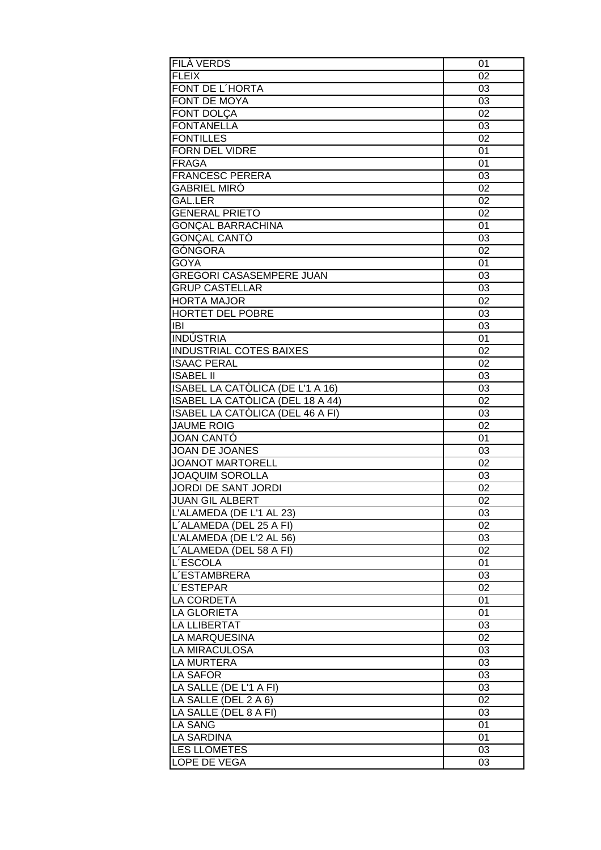| FILÀ VERDS                              | 01              |
|-----------------------------------------|-----------------|
| <b>FLEIX</b>                            | 02              |
| FONT DE L'HORTA                         | 03              |
| FONT DE MOYA                            | 03              |
| FONT DOLCA                              | 02              |
| <b>FONTANELLA</b>                       | 03              |
| <b>FONTILLES</b>                        | 02              |
| <b>FORN DEL VIDRE</b>                   | 01              |
| <b>FRAGA</b>                            | 01              |
| <b>FRANCESC PERERA</b>                  | 03              |
| <b>GABRIEL MIRÓ</b>                     | 02              |
| <b>GAL.LER</b>                          | $\overline{02}$ |
| <b>GENERAL PRIETO</b>                   | 02              |
| <b>GONÇAL BARRACHINA</b>                | 01              |
| <b>GONÇAL CANTÓ</b>                     | 03              |
| GÓNGORA                                 | 02              |
| <b>GOYA</b>                             | 01              |
| GREGORI CASASEMPERE JUAN                | 03              |
| <b>GRUP CASTELLAR</b>                   | 03              |
| <b>HORTA MAJOR</b>                      | 02              |
| HORTET DEL POBRE                        | 03              |
| <b>IBI</b>                              | 03              |
| <b>INDÚSTRIA</b>                        | 01              |
| <b>INDUSTRIAL COTES BAIXES</b>          | 02              |
| <b>ISAAC PERAL</b>                      |                 |
|                                         | 02              |
| <b>ISABEL II</b>                        | 03              |
| ISABEL LA CATÒLICA (DE L'1 A 16)        | 03              |
| ISABEL LA CATÒLICA (DEL 18 A 44)        | 02              |
| <b>ISABEL LA CATÒLICA (DEL 46 A FI)</b> | 03              |
| <b>JAUME ROIG</b>                       | 02              |
| JOAN CANTÓ                              | 01              |
| JOAN DE JOANES                          | 03              |
| <b>JOANOT MARTORELL</b>                 | 02              |
| <b>JOAQUIM SOROLLA</b>                  | 03              |
| JORDI DE SANT JORDI                     | 02              |
| <b>JUAN GIL ALBERT</b>                  | 02              |
| L'ALAMEDA (DE L'1 AL 23)                | 03              |
| L'ALAMEDA (DEL 25 A FI)                 | 02              |
| L'ALAMEDA (DE L'2 AL 56)                | 03              |
| L'ALAMEDA (DEL 58 A FI)                 | 02              |
| L'ESCOLA                                | 01              |
| L'ESTAMBRERA                            | 03              |
| <b>L'ESTEPAR</b>                        | 02              |
| LA CORDETA                              | 01              |
| LA GLORIETA                             | 01              |
| <b>LA LLIBERTAT</b>                     | 03              |
| LA MARQUESINA                           | 02              |
| LA MIRACULOSA                           | 03              |
| LA MURTERA                              | 03              |
| <b>LA SAFOR</b>                         | 03              |
| LA SALLE (DE L'1 A FI)                  | 03              |
| LA SALLE (DEL 2 A 6)                    | 02              |
| LA SALLE (DEL 8 A FI)                   | 03              |
| LA SANG                                 | 01              |
| <b>LA SARDINA</b>                       | 01              |
| <b>LES LLOMETES</b>                     | 03              |
| LOPE DE VEGA                            | 03              |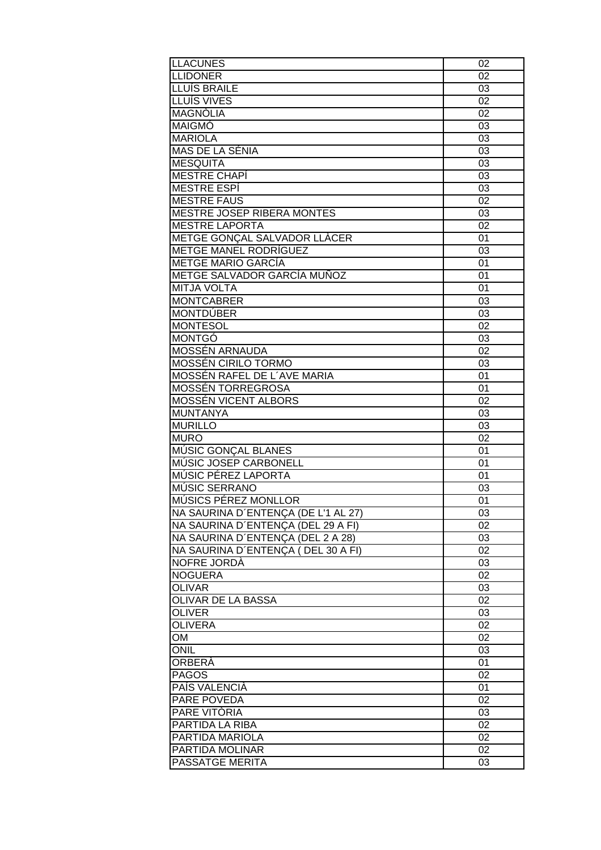| <b>LLIDONER</b><br>02<br>LLUÍS BRAILE<br>03<br>LLUÍS VIVES<br>02<br>MAGNÒLIA<br>02<br><b>MAIGMÓ</b><br>03<br><b>MARIOLA</b><br>03<br><b>MAS DE LA SÉNIA</b><br>03<br><b>MESQUITA</b><br>03<br><b>MESTRE CHAPI</b><br>03<br><b>MESTRE ESPÍ</b><br>$\overline{03}$<br><b>MESTRE FAUS</b><br>$\overline{02}$<br><b>MESTRE JOSEP RIBERA MONTES</b><br>03<br><b>MESTRE LAPORTA</b><br>02<br>METGE GONÇAL SALVADOR LLÀCER<br>01<br><b>METGE MANEL RODRÍGUEZ</b><br>03<br><b>METGE MARIO GARCÍA</b><br>01<br>METGE SALVADOR GARCÍA MUÑOZ<br>01<br><b>MITJA VOLTA</b><br>01<br><b>MONTCABRER</b><br>03<br><b>MONTDÚBER</b><br>03<br><b>MONTESOL</b><br>02<br><b>MONTGÓ</b><br>03<br><b>MOSSÉN ARNAUDA</b><br>02<br>MOSSÉN CIRILO TORMO<br>03<br>MOSSÉN RAFEL DE L'AVE MARIA<br>01<br><b>MOSSÉN TORREGROSA</b><br>01<br><b>MOSSÉN VICENT ALBORS</b><br>02<br><b>MUNTANYA</b><br>03<br><b>MURILLO</b><br>03<br>02<br><b>MURO</b><br>MÚSIC GONÇAL BLANES<br>01<br>MÚSIC JOSEP CARBONELL<br>01<br>MÚSIC PÉREZ LAPORTA<br>01<br>MÚSIC SERRANO<br>03<br>MÚSICS PÉREZ MONLLOR<br>01<br>NA SAURINA D'ENTENÇA (DE L'1 AL 27)<br>03<br>NA SAURINA D'ENTENÇA (DEL 29 A FI)<br>02<br>NA SAURINA D'ENTENÇA (DEL 2 A 28)<br>03<br>NA SAURINA D'ENTENÇA (DEL 30 A FI)<br>02<br>NOFRE JORDA<br>03<br><b>NOGUERA</b><br>02<br><b>OLIVAR</b><br>03<br><b>OLIVAR DE LA BASSA</b><br>$\overline{02}$<br><b>OLIVER</b><br>03<br><b>OLIVERA</b><br>$\overline{02}$<br>02<br><b>OM</b><br><b>ONIL</b><br>03<br>ORBERÀ<br>01<br><b>PAGOS</b><br>02<br>PAÍS VALENCIÀ<br>01<br>PARE POVEDA<br>02<br>PARE VITÒRIA<br>03<br>PARTIDA LA RIBA<br>02<br>PARTIDA MARIOLA<br>02<br>PARTIDA MOLINAR<br>02<br><b>PASSATGE MERITA</b><br>03 | <b>LLACUNES</b> | 02 |
|-------------------------------------------------------------------------------------------------------------------------------------------------------------------------------------------------------------------------------------------------------------------------------------------------------------------------------------------------------------------------------------------------------------------------------------------------------------------------------------------------------------------------------------------------------------------------------------------------------------------------------------------------------------------------------------------------------------------------------------------------------------------------------------------------------------------------------------------------------------------------------------------------------------------------------------------------------------------------------------------------------------------------------------------------------------------------------------------------------------------------------------------------------------------------------------------------------------------------------------------------------------------------------------------------------------------------------------------------------------------------------------------------------------------------------------------------------------------------------------------------------------------------------------------------------------------------------------------------------------------------------------------------------------------------------------------------|-----------------|----|
|                                                                                                                                                                                                                                                                                                                                                                                                                                                                                                                                                                                                                                                                                                                                                                                                                                                                                                                                                                                                                                                                                                                                                                                                                                                                                                                                                                                                                                                                                                                                                                                                                                                                                                 |                 |    |
|                                                                                                                                                                                                                                                                                                                                                                                                                                                                                                                                                                                                                                                                                                                                                                                                                                                                                                                                                                                                                                                                                                                                                                                                                                                                                                                                                                                                                                                                                                                                                                                                                                                                                                 |                 |    |
|                                                                                                                                                                                                                                                                                                                                                                                                                                                                                                                                                                                                                                                                                                                                                                                                                                                                                                                                                                                                                                                                                                                                                                                                                                                                                                                                                                                                                                                                                                                                                                                                                                                                                                 |                 |    |
|                                                                                                                                                                                                                                                                                                                                                                                                                                                                                                                                                                                                                                                                                                                                                                                                                                                                                                                                                                                                                                                                                                                                                                                                                                                                                                                                                                                                                                                                                                                                                                                                                                                                                                 |                 |    |
|                                                                                                                                                                                                                                                                                                                                                                                                                                                                                                                                                                                                                                                                                                                                                                                                                                                                                                                                                                                                                                                                                                                                                                                                                                                                                                                                                                                                                                                                                                                                                                                                                                                                                                 |                 |    |
|                                                                                                                                                                                                                                                                                                                                                                                                                                                                                                                                                                                                                                                                                                                                                                                                                                                                                                                                                                                                                                                                                                                                                                                                                                                                                                                                                                                                                                                                                                                                                                                                                                                                                                 |                 |    |
|                                                                                                                                                                                                                                                                                                                                                                                                                                                                                                                                                                                                                                                                                                                                                                                                                                                                                                                                                                                                                                                                                                                                                                                                                                                                                                                                                                                                                                                                                                                                                                                                                                                                                                 |                 |    |
|                                                                                                                                                                                                                                                                                                                                                                                                                                                                                                                                                                                                                                                                                                                                                                                                                                                                                                                                                                                                                                                                                                                                                                                                                                                                                                                                                                                                                                                                                                                                                                                                                                                                                                 |                 |    |
|                                                                                                                                                                                                                                                                                                                                                                                                                                                                                                                                                                                                                                                                                                                                                                                                                                                                                                                                                                                                                                                                                                                                                                                                                                                                                                                                                                                                                                                                                                                                                                                                                                                                                                 |                 |    |
|                                                                                                                                                                                                                                                                                                                                                                                                                                                                                                                                                                                                                                                                                                                                                                                                                                                                                                                                                                                                                                                                                                                                                                                                                                                                                                                                                                                                                                                                                                                                                                                                                                                                                                 |                 |    |
|                                                                                                                                                                                                                                                                                                                                                                                                                                                                                                                                                                                                                                                                                                                                                                                                                                                                                                                                                                                                                                                                                                                                                                                                                                                                                                                                                                                                                                                                                                                                                                                                                                                                                                 |                 |    |
|                                                                                                                                                                                                                                                                                                                                                                                                                                                                                                                                                                                                                                                                                                                                                                                                                                                                                                                                                                                                                                                                                                                                                                                                                                                                                                                                                                                                                                                                                                                                                                                                                                                                                                 |                 |    |
|                                                                                                                                                                                                                                                                                                                                                                                                                                                                                                                                                                                                                                                                                                                                                                                                                                                                                                                                                                                                                                                                                                                                                                                                                                                                                                                                                                                                                                                                                                                                                                                                                                                                                                 |                 |    |
|                                                                                                                                                                                                                                                                                                                                                                                                                                                                                                                                                                                                                                                                                                                                                                                                                                                                                                                                                                                                                                                                                                                                                                                                                                                                                                                                                                                                                                                                                                                                                                                                                                                                                                 |                 |    |
|                                                                                                                                                                                                                                                                                                                                                                                                                                                                                                                                                                                                                                                                                                                                                                                                                                                                                                                                                                                                                                                                                                                                                                                                                                                                                                                                                                                                                                                                                                                                                                                                                                                                                                 |                 |    |
|                                                                                                                                                                                                                                                                                                                                                                                                                                                                                                                                                                                                                                                                                                                                                                                                                                                                                                                                                                                                                                                                                                                                                                                                                                                                                                                                                                                                                                                                                                                                                                                                                                                                                                 |                 |    |
|                                                                                                                                                                                                                                                                                                                                                                                                                                                                                                                                                                                                                                                                                                                                                                                                                                                                                                                                                                                                                                                                                                                                                                                                                                                                                                                                                                                                                                                                                                                                                                                                                                                                                                 |                 |    |
|                                                                                                                                                                                                                                                                                                                                                                                                                                                                                                                                                                                                                                                                                                                                                                                                                                                                                                                                                                                                                                                                                                                                                                                                                                                                                                                                                                                                                                                                                                                                                                                                                                                                                                 |                 |    |
|                                                                                                                                                                                                                                                                                                                                                                                                                                                                                                                                                                                                                                                                                                                                                                                                                                                                                                                                                                                                                                                                                                                                                                                                                                                                                                                                                                                                                                                                                                                                                                                                                                                                                                 |                 |    |
|                                                                                                                                                                                                                                                                                                                                                                                                                                                                                                                                                                                                                                                                                                                                                                                                                                                                                                                                                                                                                                                                                                                                                                                                                                                                                                                                                                                                                                                                                                                                                                                                                                                                                                 |                 |    |
|                                                                                                                                                                                                                                                                                                                                                                                                                                                                                                                                                                                                                                                                                                                                                                                                                                                                                                                                                                                                                                                                                                                                                                                                                                                                                                                                                                                                                                                                                                                                                                                                                                                                                                 |                 |    |
|                                                                                                                                                                                                                                                                                                                                                                                                                                                                                                                                                                                                                                                                                                                                                                                                                                                                                                                                                                                                                                                                                                                                                                                                                                                                                                                                                                                                                                                                                                                                                                                                                                                                                                 |                 |    |
|                                                                                                                                                                                                                                                                                                                                                                                                                                                                                                                                                                                                                                                                                                                                                                                                                                                                                                                                                                                                                                                                                                                                                                                                                                                                                                                                                                                                                                                                                                                                                                                                                                                                                                 |                 |    |
|                                                                                                                                                                                                                                                                                                                                                                                                                                                                                                                                                                                                                                                                                                                                                                                                                                                                                                                                                                                                                                                                                                                                                                                                                                                                                                                                                                                                                                                                                                                                                                                                                                                                                                 |                 |    |
|                                                                                                                                                                                                                                                                                                                                                                                                                                                                                                                                                                                                                                                                                                                                                                                                                                                                                                                                                                                                                                                                                                                                                                                                                                                                                                                                                                                                                                                                                                                                                                                                                                                                                                 |                 |    |
|                                                                                                                                                                                                                                                                                                                                                                                                                                                                                                                                                                                                                                                                                                                                                                                                                                                                                                                                                                                                                                                                                                                                                                                                                                                                                                                                                                                                                                                                                                                                                                                                                                                                                                 |                 |    |
|                                                                                                                                                                                                                                                                                                                                                                                                                                                                                                                                                                                                                                                                                                                                                                                                                                                                                                                                                                                                                                                                                                                                                                                                                                                                                                                                                                                                                                                                                                                                                                                                                                                                                                 |                 |    |
|                                                                                                                                                                                                                                                                                                                                                                                                                                                                                                                                                                                                                                                                                                                                                                                                                                                                                                                                                                                                                                                                                                                                                                                                                                                                                                                                                                                                                                                                                                                                                                                                                                                                                                 |                 |    |
|                                                                                                                                                                                                                                                                                                                                                                                                                                                                                                                                                                                                                                                                                                                                                                                                                                                                                                                                                                                                                                                                                                                                                                                                                                                                                                                                                                                                                                                                                                                                                                                                                                                                                                 |                 |    |
|                                                                                                                                                                                                                                                                                                                                                                                                                                                                                                                                                                                                                                                                                                                                                                                                                                                                                                                                                                                                                                                                                                                                                                                                                                                                                                                                                                                                                                                                                                                                                                                                                                                                                                 |                 |    |
|                                                                                                                                                                                                                                                                                                                                                                                                                                                                                                                                                                                                                                                                                                                                                                                                                                                                                                                                                                                                                                                                                                                                                                                                                                                                                                                                                                                                                                                                                                                                                                                                                                                                                                 |                 |    |
|                                                                                                                                                                                                                                                                                                                                                                                                                                                                                                                                                                                                                                                                                                                                                                                                                                                                                                                                                                                                                                                                                                                                                                                                                                                                                                                                                                                                                                                                                                                                                                                                                                                                                                 |                 |    |
|                                                                                                                                                                                                                                                                                                                                                                                                                                                                                                                                                                                                                                                                                                                                                                                                                                                                                                                                                                                                                                                                                                                                                                                                                                                                                                                                                                                                                                                                                                                                                                                                                                                                                                 |                 |    |
|                                                                                                                                                                                                                                                                                                                                                                                                                                                                                                                                                                                                                                                                                                                                                                                                                                                                                                                                                                                                                                                                                                                                                                                                                                                                                                                                                                                                                                                                                                                                                                                                                                                                                                 |                 |    |
|                                                                                                                                                                                                                                                                                                                                                                                                                                                                                                                                                                                                                                                                                                                                                                                                                                                                                                                                                                                                                                                                                                                                                                                                                                                                                                                                                                                                                                                                                                                                                                                                                                                                                                 |                 |    |
|                                                                                                                                                                                                                                                                                                                                                                                                                                                                                                                                                                                                                                                                                                                                                                                                                                                                                                                                                                                                                                                                                                                                                                                                                                                                                                                                                                                                                                                                                                                                                                                                                                                                                                 |                 |    |
|                                                                                                                                                                                                                                                                                                                                                                                                                                                                                                                                                                                                                                                                                                                                                                                                                                                                                                                                                                                                                                                                                                                                                                                                                                                                                                                                                                                                                                                                                                                                                                                                                                                                                                 |                 |    |
|                                                                                                                                                                                                                                                                                                                                                                                                                                                                                                                                                                                                                                                                                                                                                                                                                                                                                                                                                                                                                                                                                                                                                                                                                                                                                                                                                                                                                                                                                                                                                                                                                                                                                                 |                 |    |
|                                                                                                                                                                                                                                                                                                                                                                                                                                                                                                                                                                                                                                                                                                                                                                                                                                                                                                                                                                                                                                                                                                                                                                                                                                                                                                                                                                                                                                                                                                                                                                                                                                                                                                 |                 |    |
|                                                                                                                                                                                                                                                                                                                                                                                                                                                                                                                                                                                                                                                                                                                                                                                                                                                                                                                                                                                                                                                                                                                                                                                                                                                                                                                                                                                                                                                                                                                                                                                                                                                                                                 |                 |    |
|                                                                                                                                                                                                                                                                                                                                                                                                                                                                                                                                                                                                                                                                                                                                                                                                                                                                                                                                                                                                                                                                                                                                                                                                                                                                                                                                                                                                                                                                                                                                                                                                                                                                                                 |                 |    |
|                                                                                                                                                                                                                                                                                                                                                                                                                                                                                                                                                                                                                                                                                                                                                                                                                                                                                                                                                                                                                                                                                                                                                                                                                                                                                                                                                                                                                                                                                                                                                                                                                                                                                                 |                 |    |
|                                                                                                                                                                                                                                                                                                                                                                                                                                                                                                                                                                                                                                                                                                                                                                                                                                                                                                                                                                                                                                                                                                                                                                                                                                                                                                                                                                                                                                                                                                                                                                                                                                                                                                 |                 |    |
|                                                                                                                                                                                                                                                                                                                                                                                                                                                                                                                                                                                                                                                                                                                                                                                                                                                                                                                                                                                                                                                                                                                                                                                                                                                                                                                                                                                                                                                                                                                                                                                                                                                                                                 |                 |    |
|                                                                                                                                                                                                                                                                                                                                                                                                                                                                                                                                                                                                                                                                                                                                                                                                                                                                                                                                                                                                                                                                                                                                                                                                                                                                                                                                                                                                                                                                                                                                                                                                                                                                                                 |                 |    |
|                                                                                                                                                                                                                                                                                                                                                                                                                                                                                                                                                                                                                                                                                                                                                                                                                                                                                                                                                                                                                                                                                                                                                                                                                                                                                                                                                                                                                                                                                                                                                                                                                                                                                                 |                 |    |
|                                                                                                                                                                                                                                                                                                                                                                                                                                                                                                                                                                                                                                                                                                                                                                                                                                                                                                                                                                                                                                                                                                                                                                                                                                                                                                                                                                                                                                                                                                                                                                                                                                                                                                 |                 |    |
|                                                                                                                                                                                                                                                                                                                                                                                                                                                                                                                                                                                                                                                                                                                                                                                                                                                                                                                                                                                                                                                                                                                                                                                                                                                                                                                                                                                                                                                                                                                                                                                                                                                                                                 |                 |    |
|                                                                                                                                                                                                                                                                                                                                                                                                                                                                                                                                                                                                                                                                                                                                                                                                                                                                                                                                                                                                                                                                                                                                                                                                                                                                                                                                                                                                                                                                                                                                                                                                                                                                                                 |                 |    |
|                                                                                                                                                                                                                                                                                                                                                                                                                                                                                                                                                                                                                                                                                                                                                                                                                                                                                                                                                                                                                                                                                                                                                                                                                                                                                                                                                                                                                                                                                                                                                                                                                                                                                                 |                 |    |
|                                                                                                                                                                                                                                                                                                                                                                                                                                                                                                                                                                                                                                                                                                                                                                                                                                                                                                                                                                                                                                                                                                                                                                                                                                                                                                                                                                                                                                                                                                                                                                                                                                                                                                 |                 |    |
|                                                                                                                                                                                                                                                                                                                                                                                                                                                                                                                                                                                                                                                                                                                                                                                                                                                                                                                                                                                                                                                                                                                                                                                                                                                                                                                                                                                                                                                                                                                                                                                                                                                                                                 |                 |    |
|                                                                                                                                                                                                                                                                                                                                                                                                                                                                                                                                                                                                                                                                                                                                                                                                                                                                                                                                                                                                                                                                                                                                                                                                                                                                                                                                                                                                                                                                                                                                                                                                                                                                                                 |                 |    |
|                                                                                                                                                                                                                                                                                                                                                                                                                                                                                                                                                                                                                                                                                                                                                                                                                                                                                                                                                                                                                                                                                                                                                                                                                                                                                                                                                                                                                                                                                                                                                                                                                                                                                                 |                 |    |
|                                                                                                                                                                                                                                                                                                                                                                                                                                                                                                                                                                                                                                                                                                                                                                                                                                                                                                                                                                                                                                                                                                                                                                                                                                                                                                                                                                                                                                                                                                                                                                                                                                                                                                 |                 |    |
|                                                                                                                                                                                                                                                                                                                                                                                                                                                                                                                                                                                                                                                                                                                                                                                                                                                                                                                                                                                                                                                                                                                                                                                                                                                                                                                                                                                                                                                                                                                                                                                                                                                                                                 |                 |    |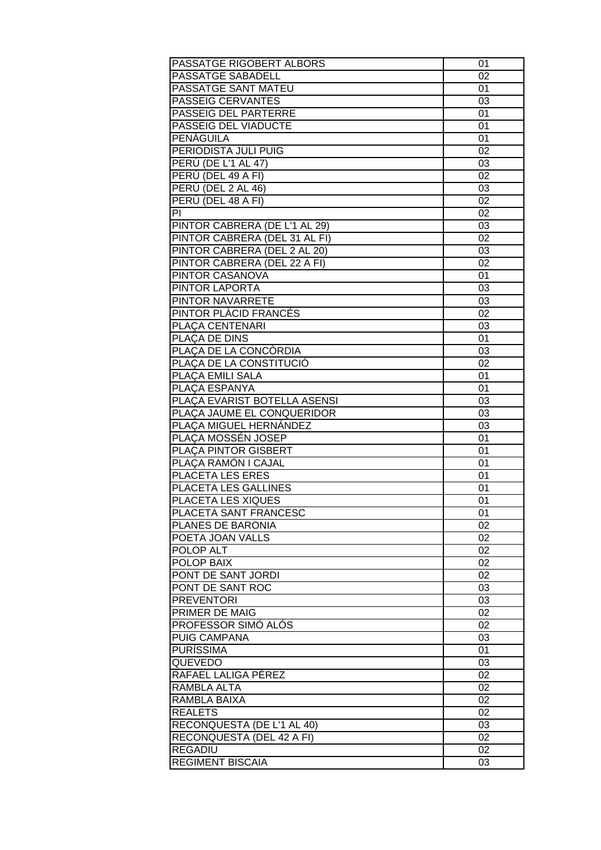| PASSATGE RIGOBERT ALBORS       | 01              |
|--------------------------------|-----------------|
| PASSATGE SABADELL              | 02              |
| PASSATGE SANT MATEU            | 01              |
| PASSEIG CERVANTES              | 03              |
| PASSEIG DEL PARTERRE           | 01              |
| PASSEIG DEL VIADUCTE           | 01              |
| PENAGUILA                      | 01              |
| PERIODISTA JULI PUIG           | 02              |
| PERÚ (DE L'1 AL 47)            | 03              |
| PERÚ (DEL 49 A FI)             | 02              |
| PERÚ (DEL 2 AL 46)             | 03              |
| PERÚ (DEL 48 A FI)             | $\overline{02}$ |
| РĪ                             | $\overline{02}$ |
| PINTOR CABRERA (DE L'1 AL 29)  | 03              |
| PINTOR CABRERA (DEL 31 AL FI)  | 02              |
| PINTOR CABRERA (DEL 2 AL 20)   | 03              |
| PINTOR CABRERA (DEL 22 A FI)   | 02              |
| PINTOR CASANOVA                | 01              |
| PINTOR LAPORTA                 | 03              |
| PINTOR NAVARRETE               | 03              |
| PINTOR PLÀCID FRANCÉS          | 02              |
| PLAÇA CENTENARI                | 03              |
| PLAÇA DE DINS                  | 01              |
| PLAÇA DE LA CONCÒRDIA          | 03              |
| PLAÇA DE LA CONSTITUCIÓ        | 02              |
| PLAÇA EMILI SALA               | 01              |
| PLAÇA ESPANYA                  | 01              |
| PLAÇA EVARIST BOTELLA ASENSI   | 03              |
| PLAÇA JAUME EL CONQUERIDOR     | 03              |
| PLAÇA MIGUEL HERNÁNDEZ         | 03              |
| PLACA MOSSÉN JOSEP             | 01              |
| <b>PLACA PINTOR GISBERT</b>    | 01              |
| PLAÇA RAMÓN I CAJAL            | 01              |
| PLACETA LES ERES               | 01              |
| PLACETA LES GALLINES           | 01              |
| PLACETA LES XIQUES             | 01              |
| PLACETA SANT FRANCESC          | 01              |
| PLANES DE BARONIA              | 02              |
| POETA JOAN VALLS               | 02              |
| POLOP ALT<br><b>POLOP BAIX</b> | 02              |
| PONT DE SANT JORDI             | 02<br>02        |
| PONT DE SANT ROC               | 03              |
| <b>PREVENTORI</b>              | 03              |
| <b>PRIMER DE MAIG</b>          | 02              |
| PROFESSOR SIMÓ ALÓS            | 02              |
| <b>PUIG CAMPANA</b>            | 03              |
| PURÍSSIMA                      | 01              |
| <b>QUEVEDO</b>                 | 03              |
| RAFAEL LALIGA PÉREZ            | 02              |
| RAMBLA ALTA                    | 02              |
| RAMBLA BAIXA                   | 02              |
| <b>REALETS</b>                 | 02              |
| RECONQUESTA (DE L'1 AL 40)     | 03              |
| RECONQUESTA (DEL 42 A FI)      | 02              |
| <b>REGADIU</b>                 | 02              |
| <b>REGIMENT BISCAIA</b>        | 03              |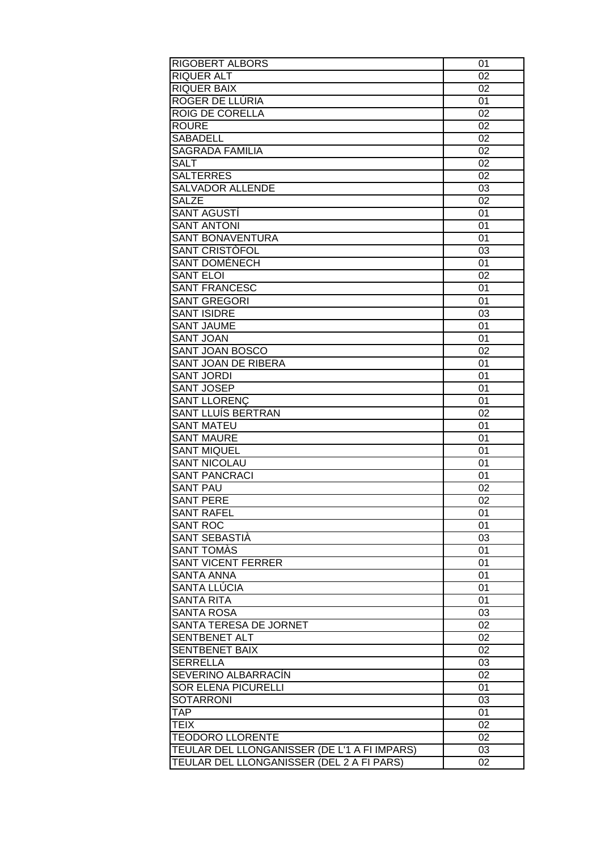| <b>RIQUER ALT</b><br>02<br><b>RIQUER BAIX</b><br>02<br>ROGER DE LLÚRIA<br>01<br>02<br>ROIG DE CORELLA<br><b>ROURE</b><br>02<br><b>SABADELL</b><br>02<br><b>SAGRADA FAMILIA</b><br>02<br><b>SALT</b><br>02<br><b>SALTERRES</b><br>02<br><b>SALVADOR ALLENDE</b><br>03<br><b>SALZE</b><br>02<br><b>SANT AGUSTÍ</b><br>01<br><b>SANT ANTONI</b><br>01<br><b>SANT BONAVENTURA</b><br>01<br>SANT CRISTÒFOL<br>03<br>SANT DOMÉNECH<br>01<br><b>SANT ELOI</b><br>02<br><b>SANT FRANCESC</b><br>01<br><b>SANT GREGORI</b><br>01<br><b>SANT ISIDRE</b><br>03<br><b>SANT JAUME</b><br>01<br><b>SANT JOAN</b><br>01<br><b>SANT JOAN BOSCO</b><br>02 | <b>RIGOBERT ALBORS</b> | 01 |
|------------------------------------------------------------------------------------------------------------------------------------------------------------------------------------------------------------------------------------------------------------------------------------------------------------------------------------------------------------------------------------------------------------------------------------------------------------------------------------------------------------------------------------------------------------------------------------------------------------------------------------------|------------------------|----|
|                                                                                                                                                                                                                                                                                                                                                                                                                                                                                                                                                                                                                                          |                        |    |
|                                                                                                                                                                                                                                                                                                                                                                                                                                                                                                                                                                                                                                          |                        |    |
|                                                                                                                                                                                                                                                                                                                                                                                                                                                                                                                                                                                                                                          |                        |    |
|                                                                                                                                                                                                                                                                                                                                                                                                                                                                                                                                                                                                                                          |                        |    |
|                                                                                                                                                                                                                                                                                                                                                                                                                                                                                                                                                                                                                                          |                        |    |
|                                                                                                                                                                                                                                                                                                                                                                                                                                                                                                                                                                                                                                          |                        |    |
|                                                                                                                                                                                                                                                                                                                                                                                                                                                                                                                                                                                                                                          |                        |    |
|                                                                                                                                                                                                                                                                                                                                                                                                                                                                                                                                                                                                                                          |                        |    |
|                                                                                                                                                                                                                                                                                                                                                                                                                                                                                                                                                                                                                                          |                        |    |
|                                                                                                                                                                                                                                                                                                                                                                                                                                                                                                                                                                                                                                          |                        |    |
|                                                                                                                                                                                                                                                                                                                                                                                                                                                                                                                                                                                                                                          |                        |    |
|                                                                                                                                                                                                                                                                                                                                                                                                                                                                                                                                                                                                                                          |                        |    |
|                                                                                                                                                                                                                                                                                                                                                                                                                                                                                                                                                                                                                                          |                        |    |
|                                                                                                                                                                                                                                                                                                                                                                                                                                                                                                                                                                                                                                          |                        |    |
|                                                                                                                                                                                                                                                                                                                                                                                                                                                                                                                                                                                                                                          |                        |    |
|                                                                                                                                                                                                                                                                                                                                                                                                                                                                                                                                                                                                                                          |                        |    |
|                                                                                                                                                                                                                                                                                                                                                                                                                                                                                                                                                                                                                                          |                        |    |
|                                                                                                                                                                                                                                                                                                                                                                                                                                                                                                                                                                                                                                          |                        |    |
|                                                                                                                                                                                                                                                                                                                                                                                                                                                                                                                                                                                                                                          |                        |    |
|                                                                                                                                                                                                                                                                                                                                                                                                                                                                                                                                                                                                                                          |                        |    |
|                                                                                                                                                                                                                                                                                                                                                                                                                                                                                                                                                                                                                                          |                        |    |
|                                                                                                                                                                                                                                                                                                                                                                                                                                                                                                                                                                                                                                          |                        |    |
|                                                                                                                                                                                                                                                                                                                                                                                                                                                                                                                                                                                                                                          |                        |    |
|                                                                                                                                                                                                                                                                                                                                                                                                                                                                                                                                                                                                                                          |                        |    |
| SANT JOAN DE RIBERA<br>01                                                                                                                                                                                                                                                                                                                                                                                                                                                                                                                                                                                                                |                        |    |
| <b>SANT JORDI</b><br>01                                                                                                                                                                                                                                                                                                                                                                                                                                                                                                                                                                                                                  |                        |    |
| <b>SANT JOSEP</b><br>01                                                                                                                                                                                                                                                                                                                                                                                                                                                                                                                                                                                                                  |                        |    |
| <b>SANT LLORENC</b><br>01                                                                                                                                                                                                                                                                                                                                                                                                                                                                                                                                                                                                                |                        |    |
| <b>SANT LLUÍS BERTRAN</b><br>02                                                                                                                                                                                                                                                                                                                                                                                                                                                                                                                                                                                                          |                        |    |
| <b>SANT MATEU</b><br>01                                                                                                                                                                                                                                                                                                                                                                                                                                                                                                                                                                                                                  |                        |    |
| <b>SANT MAURE</b><br>01                                                                                                                                                                                                                                                                                                                                                                                                                                                                                                                                                                                                                  |                        |    |
| <b>SANT MIQUEL</b><br>01                                                                                                                                                                                                                                                                                                                                                                                                                                                                                                                                                                                                                 |                        |    |
| <b>SANT NICOLAU</b><br>01                                                                                                                                                                                                                                                                                                                                                                                                                                                                                                                                                                                                                |                        |    |
| <b>SANT PANCRACI</b><br>01                                                                                                                                                                                                                                                                                                                                                                                                                                                                                                                                                                                                               |                        |    |
| <b>SANT PAU</b><br>02                                                                                                                                                                                                                                                                                                                                                                                                                                                                                                                                                                                                                    |                        |    |
| <b>SANT PERE</b><br>02                                                                                                                                                                                                                                                                                                                                                                                                                                                                                                                                                                                                                   |                        |    |
| <b>SANT RAFEL</b><br>01                                                                                                                                                                                                                                                                                                                                                                                                                                                                                                                                                                                                                  |                        |    |
| <b>SANT ROC</b><br>01                                                                                                                                                                                                                                                                                                                                                                                                                                                                                                                                                                                                                    |                        |    |
| SANT SEBASTIÀ<br>03                                                                                                                                                                                                                                                                                                                                                                                                                                                                                                                                                                                                                      |                        |    |
| SANT TOMÀS<br>01                                                                                                                                                                                                                                                                                                                                                                                                                                                                                                                                                                                                                         |                        |    |
| <b>SANT VICENT FERRER</b><br>01                                                                                                                                                                                                                                                                                                                                                                                                                                                                                                                                                                                                          |                        |    |
| <b>SANTA ANNA</b><br>01                                                                                                                                                                                                                                                                                                                                                                                                                                                                                                                                                                                                                  |                        |    |
| <b>SANTA LLÚCIA</b><br>01                                                                                                                                                                                                                                                                                                                                                                                                                                                                                                                                                                                                                |                        |    |
| <b>SANTA RITA</b><br>01                                                                                                                                                                                                                                                                                                                                                                                                                                                                                                                                                                                                                  |                        |    |
| <b>SANTA ROSA</b><br>03                                                                                                                                                                                                                                                                                                                                                                                                                                                                                                                                                                                                                  |                        |    |
| SANTA TERESA DE JORNET<br>02                                                                                                                                                                                                                                                                                                                                                                                                                                                                                                                                                                                                             |                        |    |
| SENTBENET ALT<br>02                                                                                                                                                                                                                                                                                                                                                                                                                                                                                                                                                                                                                      |                        |    |
| <b>SENTBENET BAIX</b><br>02                                                                                                                                                                                                                                                                                                                                                                                                                                                                                                                                                                                                              |                        |    |
| <b>SERRELLA</b><br>03                                                                                                                                                                                                                                                                                                                                                                                                                                                                                                                                                                                                                    |                        |    |
| SEVERINO ALBARRACÍN<br>02                                                                                                                                                                                                                                                                                                                                                                                                                                                                                                                                                                                                                |                        |    |
| <b>SOR ELENA PICURELLI</b><br>01                                                                                                                                                                                                                                                                                                                                                                                                                                                                                                                                                                                                         |                        |    |
| <b>SOTARRONI</b><br>03                                                                                                                                                                                                                                                                                                                                                                                                                                                                                                                                                                                                                   |                        |    |
| <b>TAP</b><br>01                                                                                                                                                                                                                                                                                                                                                                                                                                                                                                                                                                                                                         |                        |    |
| <b>TEIX</b><br>02                                                                                                                                                                                                                                                                                                                                                                                                                                                                                                                                                                                                                        |                        |    |
| <b>TEODORO LLORENTE</b><br>02                                                                                                                                                                                                                                                                                                                                                                                                                                                                                                                                                                                                            |                        |    |
| TEULAR DEL LLONGANISSER (DE L'1 A FI IMPARS)<br>03                                                                                                                                                                                                                                                                                                                                                                                                                                                                                                                                                                                       |                        |    |
| TEULAR DEL LLONGANISSER (DEL 2 A FI PARS)<br>02                                                                                                                                                                                                                                                                                                                                                                                                                                                                                                                                                                                          |                        |    |